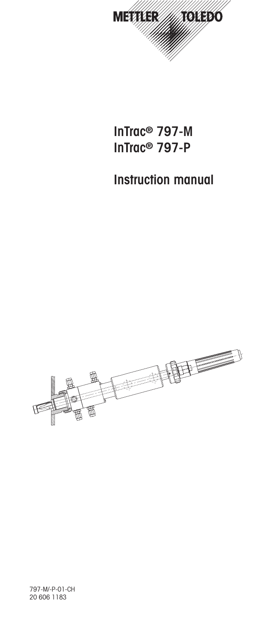

**InTrac® 797-M InTrac® 797-P**

# **Instruction manual**

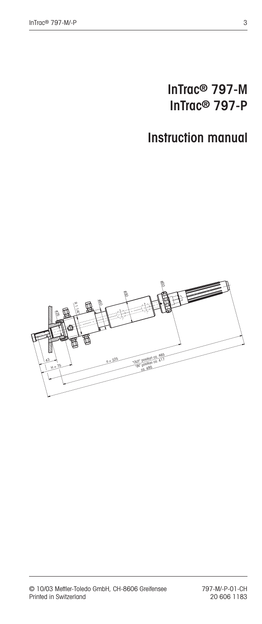# **InTrac® 797-M InTrac® 797-P**

# **Instruction manual**

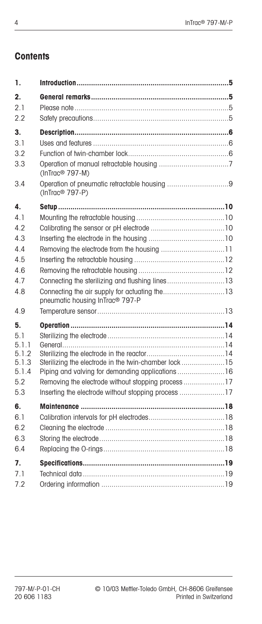# **Contents**

| 1.             |                                                      |  |
|----------------|------------------------------------------------------|--|
| $2_{\cdot}$    |                                                      |  |
| 2.1            |                                                      |  |
| 2.2            |                                                      |  |
| 3.<br>3.1      |                                                      |  |
| 3.2            |                                                      |  |
| 3.3            | (InTrac <sup>®</sup> 797-M)                          |  |
| 3.4            | (InTrac <sup>®</sup> 797-P)                          |  |
| 4.             |                                                      |  |
| 4.1            |                                                      |  |
| 42             |                                                      |  |
| 4.3            |                                                      |  |
| 4.4            |                                                      |  |
| 4.5            |                                                      |  |
| 4.6            |                                                      |  |
| 4.7            | Connecting the sterilizing and flushing lines13      |  |
| 4.8            | pneumatic housing InTrac <sup>®</sup> 797-P          |  |
| 4.9            |                                                      |  |
| 5.             |                                                      |  |
| 5.1            |                                                      |  |
| 5.1.1<br>5.1.2 |                                                      |  |
| 5.1.3          | Sterilizing the electrode in the twin-chamber lock15 |  |
| 5.1.4          | Piping and valving for demanding applications  16    |  |
| 5.2            | Removing the electrode without stopping process17    |  |
| 5.3            |                                                      |  |
| 6.             |                                                      |  |
| 6.1            |                                                      |  |
| 6.2            |                                                      |  |
| 6.3            |                                                      |  |
| 6.4            |                                                      |  |
| 7.             |                                                      |  |
| 7.1            |                                                      |  |
| 7.2            |                                                      |  |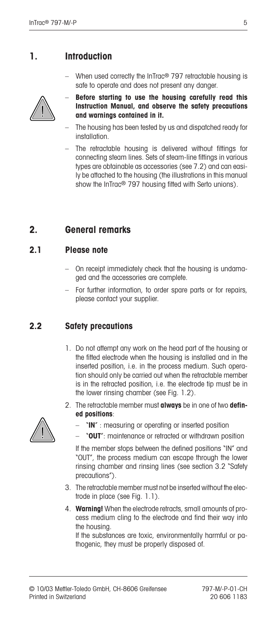## **1. Introduction**

– When used correctly the InTrac® 797 retractable housing is safe to operate and does not present any danger.



- **Before starting to use the housing carefully read this Instruction Manual, and observe the safety precautions and warnings contained in it.**
- The housing has been tested by us and dispatched ready for installation.
- The retractable housing is delivered without fittings for connecting steam lines. Sets of steam-line fittings in various types are obtainable as accessories (see 7.2) and can easily be attached to the housing (the illustrations in this manual show the InTrac<sup>®</sup> 797 housing fitted with Serto unions).

## **2. General remarks**

#### **2.1 Please note**

- On receipt immediately check that the housing is undamaged and the accessories are complete.
- For further information, to order spare parts or for repairs, please contact your supplier.

### **2.2 Safety precautions**

- 1. Do not attempt any work on the head part of the housing or the fitted electrode when the housing is installed and in the inserted position, i.e. in the process medium. Such operation should only be carried out when the retractable member is in the retracted position, i.e. the electrode tip must be in the lower rinsing chamber (see Fig. 1.2).
- 2. The retractable member must **always** be in one of two **defined positions**:



- "**IN**" : measuring or operating or inserted position
	- "**OUT**": maintenance or retracted or withdrawn position

If the member stops between the defined positions "IN" and "OUT", the process medium can escape through the lower rinsing chamber and rinsing lines (see section 3.2 "Safety precautions").

- 3. The retractable member must not be inserted without the electrode in place (see Fig. 1.1).
- 4. **Warning!** When the electrode retracts, small amounts of process medium cling to the electrode and find their way into the housing.

If the substances are toxic, environmentally harmful or pathogenic, they must be properly disposed of.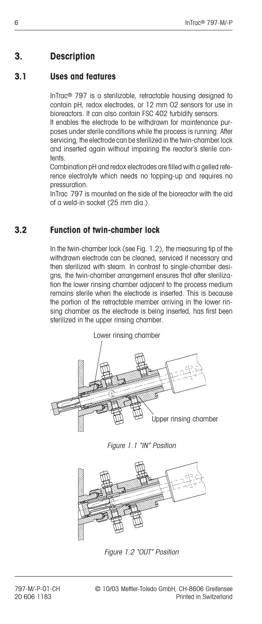## **3. Description**

#### **3.1 Uses and features**

InTrac® 797 is a sterilizable, retractable housing designed to contain pH, redox electrodes, or 12 mm O2 sensors for use in bioreactors. It can also contain FSC 402 turbidity sensors.

It enables the electrode to be withdrawn for maintenance purposes under sterile conditions while the process is running. After servicing, the electrode can be sterilized in the twin-chamber lock and inserted again without impairing the reactor's sterile contents.

Combination pH and redox electrodes are filled with a gelled reference electrolyte which needs no topping-up and requires no pressuration.

InTrac 797 is mounted on the side of the bioreactor with the aid of a weld-in socket (25 mm dia.).

### **3.2 Function of twin-chamber lock**

In the twin-chamber lock (see Fig. 1.2), the measuring tip of the withdrawn electrode can be cleaned, serviced if necessary and then sterilized with steam. In contrast to single-chamber designs, the twin-chamber arrangement ensures that after sterilization the lower rinsing chamber adjacent to the process medium remains sterile when the electrode is inserted. This is because the portion of the retractable member arriving in the lower rinsing chamber as the electrode is being inserted, has first been sterilized in the upper rinsing chamber.



Figure 1.1 "IN" Position



Figure 1.2 "OUT" Position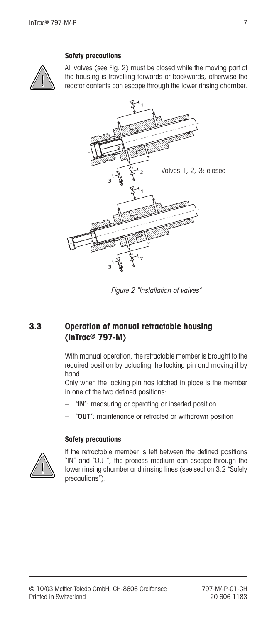#### **Safety precautions**



All valves (see Fig. 2) must be closed while the moving part of the housing is travelling forwards or backwards, otherwise the reactor contents can escape through the lower rinsing chamber.



Figure 2 "Installation of valves"

### **3.3 Operation of manual retractable housing (InTrac® 797-M)**

With manual operation, the retractable member is brought to the required position by actuating the locking pin and moving it by hand.

Only when the locking pin has latched in place is the member in one of the two defined positions:

- *NI* : measuring or operating or inserted position
- "**OUT**": maintenance or retracted or withdrawn position

#### **Safety precautions**



If the retractable member is left between the defined positions "IN" and "OUT", the process medium can escape through the lower rinsing chamber and rinsing lines (see section 3.2 "Safety precautions").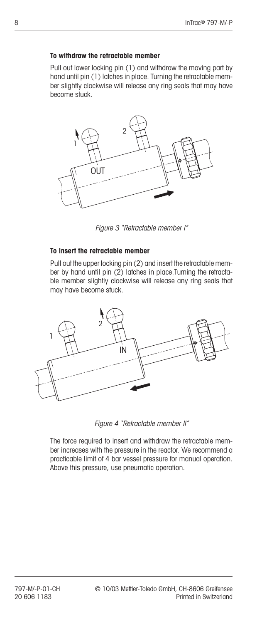#### **To withdraw the retractable member**

Pull out lower locking pin (1) and withdraw the moving part by hand until pin (1) latches in place. Turning the retractable member slightly clockwise will release any ring seals that may have become stuck.



Figure 3 "Retractable member I"

#### **To insert the retractable member**

Pull out the upper locking pin (2) and insert the retractable member by hand until pin (2) latches in place.Turning the retractable member slightly clockwise will release any ring seals that may have become stuck.



Figure 4 "Retractable member II"

The force required to insert and withdraw the retractable member increases with the pressure in the reactor. We recommend a practicable limit of 4 bar vessel pressure for manual operation. Above this pressure, use pneumatic operation.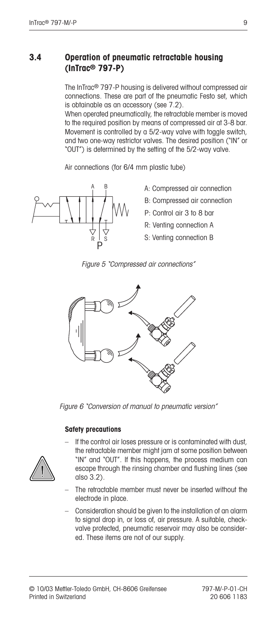#### **3.4 Operation of pneumatic retractable housing (InTrac® 797-P)**

The InTrac® 797-P housing is delivered without compressed air connections. These are part of the pneumatic Festo set, which is obtainable as an accessory (see 7.2).

When operated pneumatically, the retractable member is moved to the required position by means of compressed air at 3-8 bar. Movement is controlled by a 5/2-way valve with toggle switch, and two one-way restrictor valves. The desired position ("IN" or "OUT") is determined by the setting of the 5/2-way valve. erated pneuma<br>
uired position<br>
one-way restricted<br>
determined b<br>
ctions (for 6/4

Air connections (for 6/4 mm plastic tube)



- A: Compressed air connection
- B: Compressed air connection
- P: Control air 3 to 8 bar
- R: Venting connection A
- S: Venting connection B





Figure 6 "Conversion of manual to pneumatic version"

#### **Safety precautions**

- If the control air loses pressure or is contaminated with dust, the retractable member might jam at some position between "IN" and "OUT". If this happens, the process medium can escape through the rinsing chamber and flushing lines (see also 3.2).
- The retractable member must never be inserted without the electrode in place.
- Consideration should be given to the installation of an alarm to signal drop in, or loss of, air pressure. A suitable, checkvalve protected, pneumatic reservoir may also be considered. These items are not of our supply.

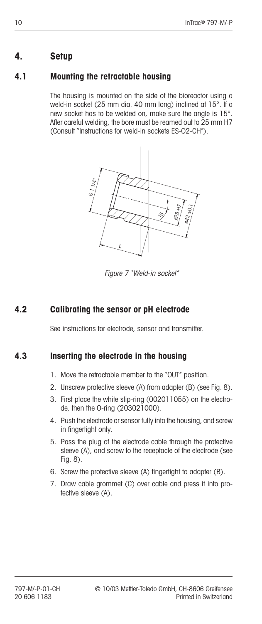## **4. Setup**

## **4.1 Mounting the retractable housing**

The housing is mounted on the side of the bioreactor using a weld-in socket (25 mm dia. 40 mm long) inclined at 15°. If a new socket has to be welded on, make sure the angle is 15°. After careful welding, the bore must be reamed out to 25 mm H7 (Consult "Instructions for weld-in sockets ES-O2-CH").



Figure 7 "Weld-in socket"

## **4.2 Calibrating the sensor or pH electrode**

See instructions for electrode, sensor and transmitter.

### **4.3 Inserting the electrode in the housing**

- 1. Move the retractable member to the "OUT" position.
- 2. Unscrew protective sleeve (A) from adapter (B) (see Fig. 8).
- 3. First place the white slip-ring (002011055) on the electrode, then the O-ring (203021000).
- 4. Push the electrode or sensor fully into the housing, and screw in fingertight only.
- 5. Pass the plug of the electrode cable through the protective sleeve (A), and screw to the receptacle of the electrode (see Fig. 8).
- 6. Screw the protective sleeve (A) fingertight to adapter (B).
- 7. Draw cable grommet (C) over cable and press it into protective sleeve (A).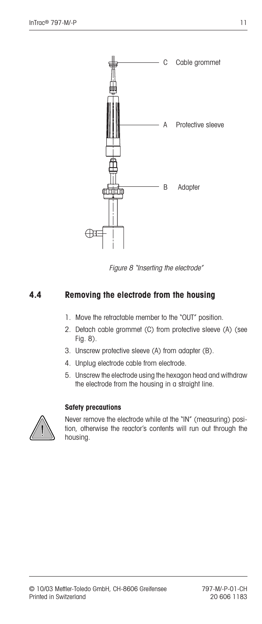

Figure 8 "Inserting the electrode"

### **4.4 Removing the electrode from the housing**

- 1. Move the retractable member to the "OUT" position.
- 2. Detach cable grommet (C) from protective sleeve (A) (see Fig. 8).
- 3. Unscrew protective sleeve (A) from adapter (B).
- 4. Unplug electrode cable from electrode.
- 5. Unscrew the electrode using the hexagon head and withdraw the electrode from the housing in a straight line.

#### **Safety precautions**



Never remove the electrode while at the "IN" (measuring) position, otherwise the reactor's contents will run out through the housing.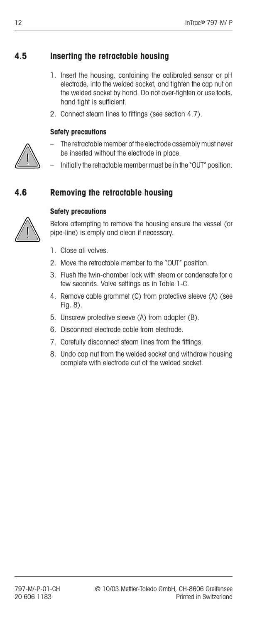# **4.5 Inserting the retractable housing**

- 1. Insert the housing, containing the calibrated sensor or pH electrode, into the welded socket, and tighten the cap nut on the welded socket by hand. Do not over-tighten or use tools, hand tight is sufficient.
- 2. Connect steam lines to fittings (see section 4.7).

## **Safety precautions**

- The retractable member of the electrode assembly must never be inserted without the electrode in place.
- Initially the retractable member must be in the "OUT" position.

# **4.6 Removing the retractable housing**



#### **Safety precautions**

Before attempting to remove the housing ensure the vessel (or pipe-line) is empty and clean if necessary.

- 1. Close all valves.
- 2. Move the retractable member to the "OUT" position.
- 3. Flush the twin-chamber lock with steam or condensate for a few seconds. Valve settings as in Table 1-C.
- 4. Remove cable grommet (C) from protective sleeve (A) (see Fig. 8).
- 5. Unscrew protective sleeve (A) from adapter (B).
- 6. Disconnect electrode cable from electrode.
- 7. Carefully disconnect steam lines from the fittings.
- 8. Undo cap nut from the welded socket and withdraw housing complete with electrode out of the welded socket.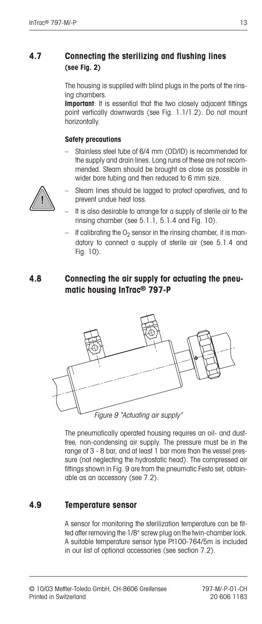### **4.7 Connecting the sterilizing and flushing lines (see Fig. 2)**

The housing is supplied with blind plugs in the ports of the rinsing chambers.

**Important**: It is essential that the two closely adjacent fittings point vertically downwards (see Fig. 1.1/1.2). Do not mount horizontally.

#### **Safety precautions**

– Stainless steel tube of 6/4 mm (OD/ID) is recommended for the supply and drain lines. Long runs of these are not recommended. Steam should be brought as close as possible in wider bore tubing and then reduced to 6 mm size.



- Steam lines should be lagged to protect operatives, and to prevent undue heat loss.
- It is also desirable to arrange for a supply of sterile air to the rinsing chamber (see 5.1.1, 5.1.4 and Fig. 10).
- If calibrating the  $O<sub>2</sub>$  sensor in the rinsing chamber, it is mandatory to connect a supply of sterile air (see 5.1.4 and Fig. 10).

#### **4.8 Connecting the air supply for actuating the pneumatic housing InTrac® 797-P**



Figure 9 "Actuating air supply"

The pneumatically operated housing requires an oil- and dustfree, non-condensing air supply. The pressure must be in the range of 3 - 8 bar, and at least 1 bar more than the vessel pressure (not neglecting the hydrostatic head). The compressed air fittings shown in Fig. 9 are from the pneumatic Festo set, obtainable as an accessory (see 7.2).

#### **4.9 Temperature sensor**

A sensor for monitoring the sterilization temperature can be fitted after removing the 1/8" screw plug on the twin-chamber lock. A suitable temperature sensor type Pt100-764/5m is included in our list of optional accessories (see section 7.2).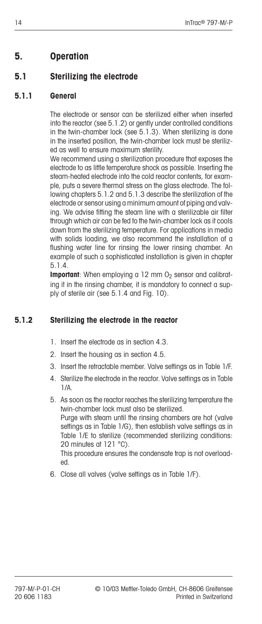## **5. Operation**

## **5.1 Sterilizing the electrode**

#### **5.1.1 General**

The electrode or sensor can be sterilized either when inserted into the reactor (see 5.1.2) or gently under controlled conditions in the twin-chamber lock (see 5.1.3). When sterilizing is done in the inserted position, the twin-chamber lock must be sterilized as well to ensure maximum sterility.

We recommend using a sterilization procedure that exposes the electrode to as little temperature shock as possible. Inserting the steam-heated electrode into the cold reactor contents, for example, puts a severe thermal stress on the glass electrode. The following chapters 5.1.2 and 5.1.3 describe the sterilization of the electrode or sensor using a minimum amount of piping and valving. We advise fitting the steam line with a sterilizable air filter through which air can be fed to the twin-chamber lock as it cools down from the sterilizing temperature. For applications in media with solids loading, we also recommend the installation of a flushing water line for rinsing the lower rinsing chamber. An example of such a sophisticated installation is given in chapter 5.1.4.

**Important**: When employing a 12 mm O<sub>2</sub> sensor and calibrating it in the rinsing chamber, it is mandatory to connect a supply of sterile air (see 5.1.4 and Fig. 10).

#### **5.1.2 Sterilizing the electrode in the reactor**

- 1. Insert the electrode as in section 4.3.
- 2. Insert the housing as in section 4.5.
- 3. Insert the retractable member. Valve settings as in Table 1/F.
- 4. Sterilize the electrode in the reactor. Valve settings as in Table 1/A.
- 5. As soon as the reactor reaches the sterilizing temperature the twin-chamber lock must also be sterilized. Purge with steam until the rinsing chambers are hot (valve settings as in Table 1/G), then establish valve settings as in Table 1/E to sterilize (recommended sterilizing conditions: 20 minutes at 121 °C). This procedure ensures the condensate trap is not overloaded.
- 6. Close all valves (valve settings as in Table 1/F).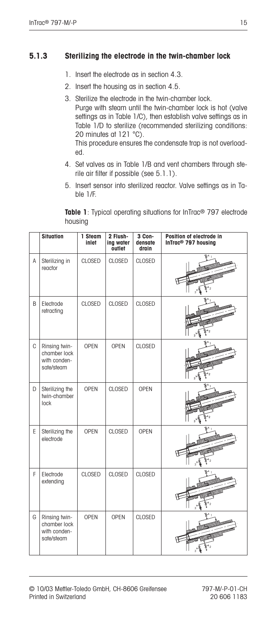#### **5.1.3 Sterilizing the electrode in the twin-chamber lock**

- 1. Insert the electrode as in section 4.3.
- 2. Insert the housing as in section 4.5.
- 3. Sterilize the electrode in the twin-chamber lock. Purge with steam until the twin-chamber lock is hot (valve settings as in Table 1/C), then establish valve settings as in Table 1/D to sterilize (recommended sterilizing conditions: 20 minutes at 121 °C). This procedure ensures the condensate trap is not overloaded.
- 4. Set valves as in Table 1/B and vent chambers through sterile air filter if possible (see 5.1.1).
- 5. Insert sensor into sterilized reactor. Valve settings as in Table 1/F.

**Table 1**: Typical operating situations for InTrac® 797 electrode housing

|   | <b>Situation</b>                                            | 1 Steam<br>inlet | 2 Flush-<br>ing water<br>outlet | 3 Con-<br>densate<br>drain | Position of electrode in<br>InTrac <sup>®</sup> 797 housing |
|---|-------------------------------------------------------------|------------------|---------------------------------|----------------------------|-------------------------------------------------------------|
| A | Sterilizing in<br>reactor                                   | <b>CLOSED</b>    | <b>CLOSED</b>                   | CLOSED                     |                                                             |
| B | Electrode<br>retracting                                     | CLOSED           | CLOSED                          | <b>CLOSED</b>              |                                                             |
| C | Rinsing twin-<br>chamber lock<br>with conden-<br>sate/steam | <b>OPEN</b>      | <b>OPEN</b>                     | CLOSED                     |                                                             |
| D | Sterilizing the<br>twin-chamber<br>lock                     | <b>OPEN</b>      | <b>CLOSED</b>                   | <b>OPEN</b>                |                                                             |
| E | Sterilizing the<br>electrode                                | <b>OPEN</b>      | <b>CLOSED</b>                   | <b>OPEN</b>                |                                                             |
| F | Electrode<br>extending                                      | <b>CLOSED</b>    | <b>CLOSED</b>                   | <b>CLOSED</b>              |                                                             |
| G | Rinsing twin-<br>chamber lock<br>with conden-<br>sate/steam | <b>OPEN</b>      | <b>OPEN</b>                     | <b>CLOSED</b>              |                                                             |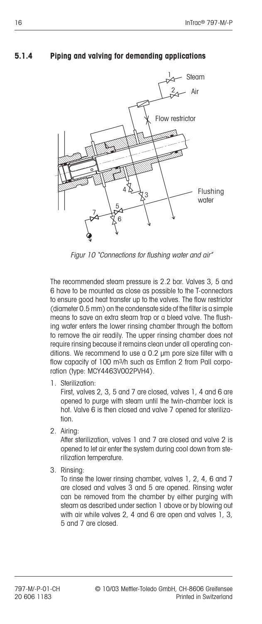#### **5.1.4 Piping and valving for demanding applications**



Figur 10 "Connections for flushing water and air"

The recommended steam pressure is 2.2 bar. Valves 3, 5 and 6 have to be mounted as close as possible to the T-connectors to ensure good heat transfer up to the valves. The flow restrictor (diameter 0.5 mm) on the condensate side of the filter is a simple means to save an extra steam trap or a bleed valve. The flushing water enters the lower rinsing chamber through the bottom to remove the air readily. The upper rinsing chamber does not require rinsing because it remains clean under all operating conditions. We recommend to use a 0.2 µm pore size filter with a flow capacity of 100 m3/h such as Emflon 2 from Pall corporation (type: MCY4463V002PVH4).

1. Sterilization:

First, valves 2, 3, 5 and 7 are closed, valves 1, 4 and 6 are opened to purge with steam until the twin-chamber lock is hot. Valve 6 is then closed and valve 7 opened for sterilization.

2. Airing:

After sterilization, valves 1 and 7 are closed and valve 2 is opened to let air enter the system during cool down from sterilization temperature.

3. Rinsing:

To rinse the lower rinsing chamber, valves 1, 2, 4, 6 and 7 are closed and valves 3 and 5 are opened. Rinsing water can be removed from the chamber by either purging with steam as described under section 1 above or by blowing out with air while valves 2, 4 and 6 are open and valves 1, 3, 5 and 7 are closed.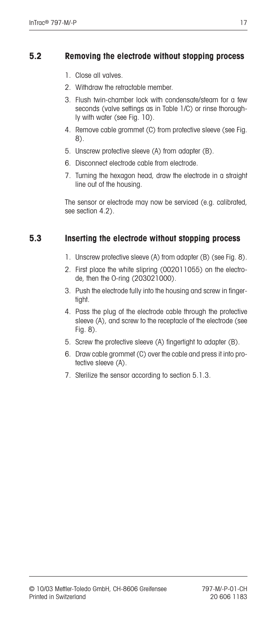#### **5.2 Removing the electrode without stopping process**

- 1. Close all valves.
- 2. Withdraw the retractable member.
- 3. Flush twin-chamber lock with condensate/steam for a few seconds (valve settings as in Table 1/C) or rinse thoroughly with water (see Fig. 10).
- 4. Remove cable grommet (C) from protective sleeve (see Fig. 8).
- 5. Unscrew protective sleeve (A) from adapter (B).
- 6. Disconnect electrode cable from electrode.
- 7. Turning the hexagon head, draw the electrode in a straight line out of the housing.

The sensor or electrode may now be serviced (e.g. calibrated, see section 4.2).

### **5.3 Inserting the electrode without stopping process**

- 1. Unscrew protective sleeve (A) from adapter (B) (see Fig. 8).
- 2. First place the white slipring (002011055) on the electrode, then the O-ring (203021000).
- 3. Push the electrode fully into the housing and screw in fingertight.
- 4. Pass the plug of the electrode cable through the protective sleeve (A), and screw to the receptacle of the electrode (see Fig. 8).
- 5. Screw the protective sleeve (A) fingertight to adapter (B).
- 6. Draw cable grommet (C) over the cable and press it into protective sleeve (A).
- 7. Sterilize the sensor according to section 5.1.3.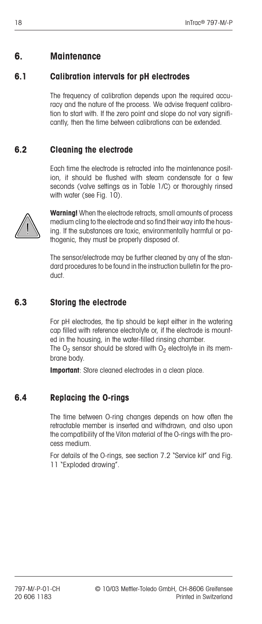## **6. Maintenance**

#### **6.1 Calibration intervals for pH electrodes**

The frequency of calibration depends upon the required accuracy and the nature of the process. We advise frequent calibration to start with. If the zero point and slope do not vary significantly, then the time between calibrations can be extended.

#### **6.2 Cleaning the electrode**

Each time the electrode is retracted into the maintenance position, it should be flushed with steam condensate for a few seconds (valve settings as in Table 1/C) or thoroughly rinsed with water (see Fig. 10).



**Warning!** When the electrode retracts, small amounts of process medium cling to the electrode and so find their way into the housing. If the substances are toxic, environmentally harmful or pathogenic, they must be properly disposed of.

The sensor/electrode may be further cleaned by any of the standard procedures to be found in the instruction bulletin for the product.

#### **6.3 Storing the electrode**

For pH electrodes, the tip should be kept either in the watering cap filled with reference electrolyte or, if the electrode is mounted in the housing, in the water-filled rinsing chamber.

The  $O<sub>2</sub>$  sensor should be stored with  $O<sub>2</sub>$  electrolyte in its membrane body.

**Important**: Store cleaned electrodes in a clean place.

#### **6.4 Replacing the O-rings**

The time between O-ring changes depends on how often the retractable member is inserted and withdrawn, and also upon the compatibility of the Viton material of the O-rings with the process medium.

For details of the O-rings, see section 7.2 "Service kit" and Fig. 11 "Exploded drawing".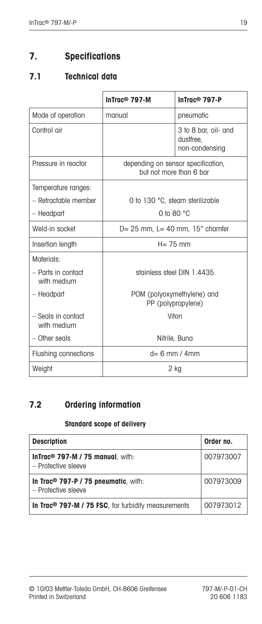# **7. Specifications**

## **7.1 Technical data**

|                                   | InTrac <sup>®</sup> 797-M                                     | InTrac <sup>®</sup> 797-P                           |  |
|-----------------------------------|---------------------------------------------------------------|-----------------------------------------------------|--|
| Mode of operation                 | manual                                                        | pneumatic                                           |  |
| Control gir                       |                                                               | 3 to 8 bar, oil- and<br>dustfree,<br>non-condensing |  |
| Pressure in reactor               | depending on sensor specification,<br>but not more than 6 bar |                                                     |  |
| Temperature ranges:               |                                                               |                                                     |  |
| - Retractable member              | 0 to 130 °C, steam sterilizable                               |                                                     |  |
| - Headpart                        | 0 to 80 $^{\circ}$ C                                          |                                                     |  |
| Weld-in socket                    | $D = 25$ mm, $L = 40$ mm, $15^\circ$ chamfer                  |                                                     |  |
| Insertion length                  | $H = 75$ mm                                                   |                                                     |  |
| Materials:                        |                                                               |                                                     |  |
| - Parts in contact<br>with medium |                                                               | stainless steel DIN 1.4435                          |  |
| - Headpart                        |                                                               | POM (polyoxymethylene) and<br>PP (polypropylene)    |  |
| - Seals in contact<br>with medium |                                                               | Viton                                               |  |
| $-$ Other seals                   |                                                               | Nitrile, Buna                                       |  |
| Flushing connections              |                                                               | $d=6$ mm / 4mm                                      |  |
| Weight                            |                                                               | 2 kg                                                |  |

## **7.2 Ordering information**

#### **Standard scope of delivery**

| <b>Description</b>                                                      | Order no. |
|-------------------------------------------------------------------------|-----------|
| InTrac <sup>®</sup> $797-M / 75$ manual, with:<br>- Protective sleeve   | 007973007 |
| In Trac <sup>®</sup> 797-P / 75 pneumatic, with:<br>- Protective sleeve | 007973009 |
| In Trac <sup>®</sup> 797-M / 75 FSC, for turbidity measurements         | 007973012 |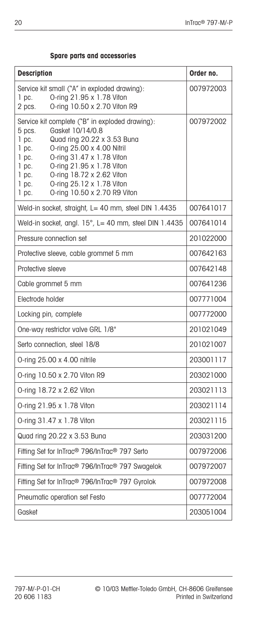| <b>Description</b>                                                                                                                                                                                                                                                                                                                                                      | Order no. |
|-------------------------------------------------------------------------------------------------------------------------------------------------------------------------------------------------------------------------------------------------------------------------------------------------------------------------------------------------------------------------|-----------|
| Service kit small ("A" in exploded drawing):<br>O-ring 21.95 x 1.78 Viton<br>$1$ pc.<br>O-ring 10.50 x 2.70 Viton R9<br>2 pcs.                                                                                                                                                                                                                                          | 007972003 |
| Service kit complete ("B" in exploded drawing):<br>Gasket 10/14/0.8<br>5 pcs.<br>Quad ring 20.22 x 3.53 Buna<br>$1$ pc.<br>O-ring 25.00 x 4.00 Nitril<br>$1$ pc.<br>O-ring 31.47 x 1.78 Viton<br>$1$ pc.<br>O-ring 21.95 x 1.78 Viton<br>$1$ pc.<br>O-ring 18.72 x 2.62 Viton<br>$1$ pc.<br>O-ring 25.12 x 1.78 Viton<br>1 pc.<br>O-ring 10.50 x 2.70 R9 Viton<br>1 pc. | 007972002 |
| Weld-in socket, straight, L= 40 mm, steel DIN 1.4435                                                                                                                                                                                                                                                                                                                    | 007641017 |
| Weld-in socket, angl. 15°, L= 40 mm, steel DIN 1.4435                                                                                                                                                                                                                                                                                                                   | 007641014 |
| Pressure connection set                                                                                                                                                                                                                                                                                                                                                 | 201022000 |
| Protective sleeve, cable grommet 5 mm                                                                                                                                                                                                                                                                                                                                   | 007642163 |
| Protective sleeve                                                                                                                                                                                                                                                                                                                                                       | 007642148 |
| Cable grommet 5 mm                                                                                                                                                                                                                                                                                                                                                      | 007641236 |
| Electrode holder                                                                                                                                                                                                                                                                                                                                                        | 007771004 |
| Locking pin, complete                                                                                                                                                                                                                                                                                                                                                   | 007772000 |
| One-way restrictor valve GRL 1/8"                                                                                                                                                                                                                                                                                                                                       | 201021049 |
| Serto connection, steel 18/8                                                                                                                                                                                                                                                                                                                                            | 201021007 |
| O-ring 25.00 x 4.00 nitrile                                                                                                                                                                                                                                                                                                                                             | 203001117 |
| O-ring 10.50 x 2.70 Viton R9                                                                                                                                                                                                                                                                                                                                            | 203021000 |
| O-ring 18.72 x 2.62 Viton                                                                                                                                                                                                                                                                                                                                               | 203021113 |
| O-ring 21.95 x 1.78 Viton                                                                                                                                                                                                                                                                                                                                               | 203021114 |
| O-ring 31.47 x 1.78 Viton                                                                                                                                                                                                                                                                                                                                               | 203021115 |
| Quad ring 20.22 x 3.53 Buna                                                                                                                                                                                                                                                                                                                                             | 203031200 |
| Fitting Set for InTrac <sup>®</sup> 796/InTrac <sup>®</sup> 797 Serto                                                                                                                                                                                                                                                                                                   | 007972006 |
| Fitting Set for InTrac <sup>®</sup> 796/InTrac <sup>®</sup> 797 Swagelok                                                                                                                                                                                                                                                                                                | 007972007 |
| Fitting Set for InTrac <sup>®</sup> 796/InTrac <sup>®</sup> 797 Gyrolok                                                                                                                                                                                                                                                                                                 | 007972008 |
| Pneumatic operation set Festo                                                                                                                                                                                                                                                                                                                                           | 007772004 |
| Gasket                                                                                                                                                                                                                                                                                                                                                                  | 203051004 |

#### **Spare parts and accessories**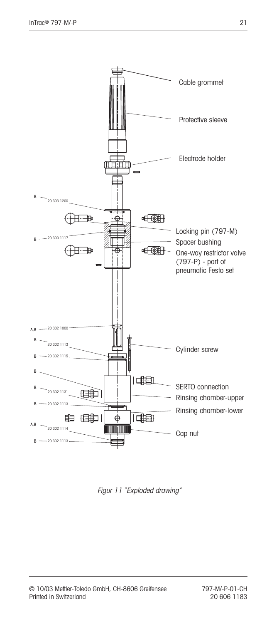

Figur 11 "Exploded drawing"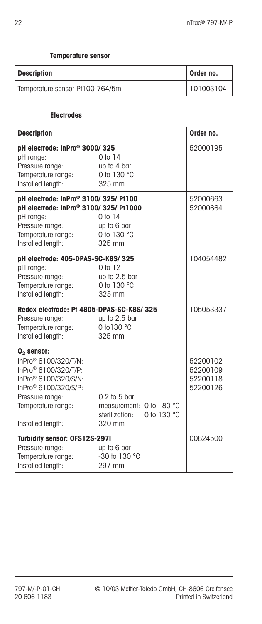#### **Temperature sensor**

| <b>Description</b>              | Order no. |
|---------------------------------|-----------|
| Temperature sensor Pt100-764/5m | 101003104 |

#### **Electrodes**

| <b>Description</b>                                                                                                                                                                                                         |                                                                                           | Order no.                                    |
|----------------------------------------------------------------------------------------------------------------------------------------------------------------------------------------------------------------------------|-------------------------------------------------------------------------------------------|----------------------------------------------|
| pH electrode: InPro® 3000/325<br>pH range:<br>Pressure range:<br>Temperature range:<br>Installed length:                                                                                                                   | 0 to 14<br>up to 4 bar<br>0 to 130 °C<br>325 mm                                           | 52000195                                     |
| pH electrode: InPro® 3100/325/ Pt100<br>pH electrode: InPro® 3100/325/ Pt1000<br>pH range:<br>Pressure range:<br>Temperature range:<br>Installed length:                                                                   | 0 to 14<br>up to 6 bar<br>0 to 130 °C<br>325 mm                                           | 52000663<br>52000664                         |
| pH electrode: 405-DPAS-SC-K8S/325<br>pH range:<br>Pressure range:<br>Temperature range:<br>Installed length:                                                                                                               | 0 to 12<br>up to 2.5 bar<br>0 to 130 °C<br>325 mm                                         | 104054482                                    |
| Redox electrode: Pt 4805-DPAS-SC-K8S/325<br>Pressure range:<br>Temperature range:<br>Installed length:                                                                                                                     | up to 2.5 bar<br>0 to 130 °C<br>325 mm                                                    | 105053337                                    |
| $02$ sensor:<br>InPro <sup>®</sup> 6100/320/T/N:<br>InPro <sup>®</sup> 6100/320/T/P:<br>InPro <sup>®</sup> 6100/320/S/N:<br>InPro <sup>®</sup> 6100/320/S/P:<br>Pressure range:<br>Temperature range:<br>Installed length: | $0.2$ to $5$ bar<br>measurement: 0 to<br>80 °C<br>0 to 130 °C<br>sterilization:<br>320 mm | 52200102<br>52200109<br>52200118<br>52200126 |
| Turbidity sensor: OFS12S-297I<br>Pressure range:<br>Temperature range:<br>Installed length:                                                                                                                                | up to 6 bar<br>-30 to 130 °C<br>297 mm                                                    | 00824500                                     |